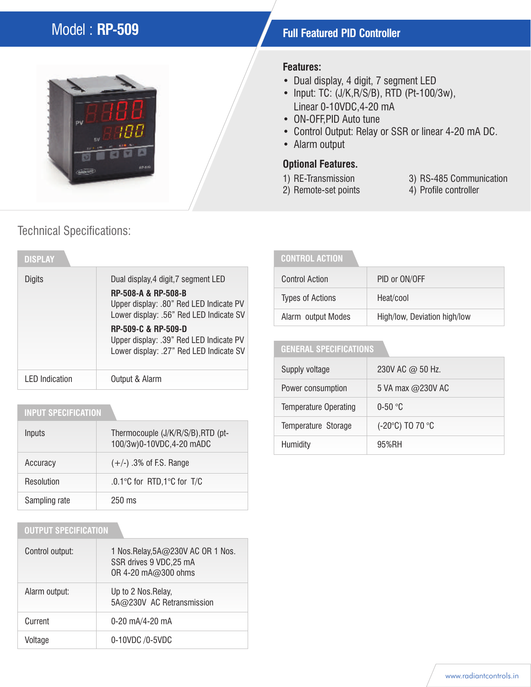# Model : **RP-509 Full Featured PID Controller**

# pu

## Technical Specifications:

| <b>DISPLAY</b>        |                                                                                                                                                   |
|-----------------------|---------------------------------------------------------------------------------------------------------------------------------------------------|
| Digits                | Dual display, 4 digit, 7 segment LED<br>RP-508-A & RP-508-B<br>Upper display: .80" Red LED Indicate PV<br>Lower display: .56" Red LED Indicate SV |
|                       | <b>RP-509-C &amp; RP-509-D</b><br>Upper display: .39" Red LED Indicate PV<br>Lower display: .27" Red LED Indicate SV                              |
| <b>LED</b> Indication | Output & Alarm                                                                                                                                    |

### **INPUT SPECIFICATION**

| Inputs        | Thermocouple (J/K/R/S/B), RTD (pt-<br>100/3w)0-10VDC,4-20 mADC |
|---------------|----------------------------------------------------------------|
| Accuracy      | $(+/-)$ .3% of F.S. Range                                      |
| Resolution    | .0.1°C for RTD,1°C for T/C                                     |
| Sampling rate | $250 \text{ ms}$                                               |

#### **OUTPUT SPECIFICATION**

| Control output: | 1 Nos.Relay, 5A@230V AC OR 1 Nos.<br>SSR drives 9 VDC, 25 mA<br>OR 4-20 mA@300 ohms |
|-----------------|-------------------------------------------------------------------------------------|
| Alarm output:   | Up to 2 Nos. Relay,<br>5A@230V AC Retransmission                                    |
| Current         | $0-20$ mA/4-20 mA                                                                   |
| Voltage         | 0-10VDC /0-5VDC                                                                     |

#### **Features:**

- Dual display, 4 digit, 7 segment LED
- Input: TC: (J/K,R/S/B), RTD (Pt-100/3w), Linear 0-10VDC,4-20 mA
- ON-OFF,PID Auto tune
- Control Output: Relay or SSR or linear 4-20 mA DC.
- Alarm output

## **Optional Features.**

- 1) RE-Transmission
	-
- 2) Remote-set points
- 3) RS-485 Communication
- 4) Profile controller

#### **CONTROL ACTION**

| <b>Control Action</b>   | PID or ON/OFF                |
|-------------------------|------------------------------|
| <b>Types of Actions</b> | Heat/cool                    |
| Alarm output Modes      | High/low, Deviation high/low |

#### **GENERAL SPECIFICATIONS**

| Supply voltage               | 230V AC @ 50 Hz.  |  |  |  |
|------------------------------|-------------------|--|--|--|
| Power consumption            | 5 VA max @230V AC |  |  |  |
| <b>Temperature Operating</b> | $0-50$ °C         |  |  |  |
| Temperature Storage          | (-20°C) TO 70 °C  |  |  |  |
| Humidity                     | 95%RH             |  |  |  |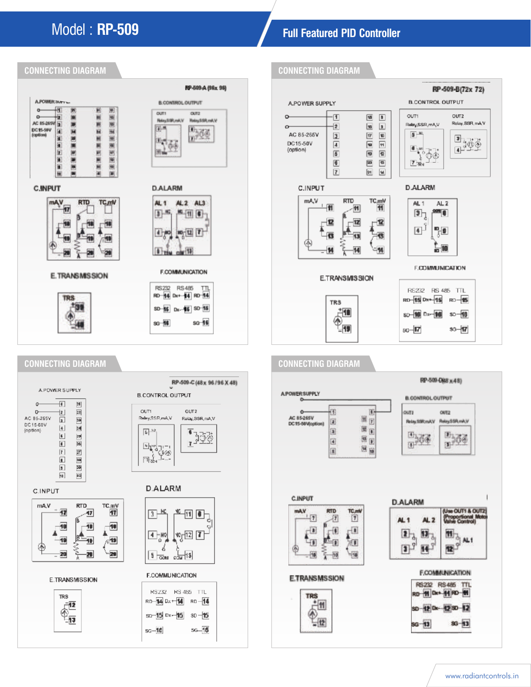# Model : **RP-509 Full Featured PID Controller**







www.radiantcontrols.in

sp-42 Dx-42 SD-12

sa-13

 $86 - 13$